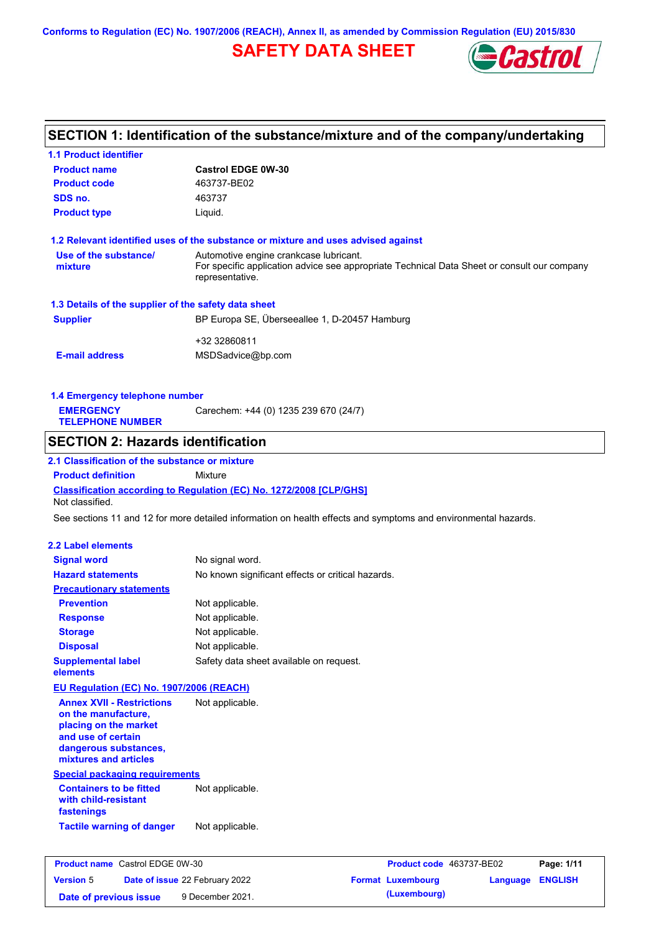**Conforms to Regulation (EC) No. 1907/2006 (REACH), Annex II, as amended by Commission Regulation (EU) 2015/830**

## **SAFETY DATA SHEET**



## **SECTION 1: Identification of the substance/mixture and of the company/undertaking**

| Not classified.<br><b>2.2 Label elements</b><br><b>Signal word</b><br><b>Hazard statements</b><br><b>Precautionary statements</b><br><b>Prevention</b><br><b>Response</b><br><b>Storage</b><br><b>Disposal</b><br><b>Supplemental label</b><br>elements<br>EU Regulation (EC) No. 1907/2006 (REACH)<br><b>Annex XVII - Restrictions</b><br>on the manufacture,<br>placing on the market | Classification according to Regulation (EC) No. 1272/2008 [CLP/GHS]<br>See sections 11 and 12 for more detailed information on health effects and symptoms and environmental hazards.<br>No signal word.<br>No known significant effects or critical hazards.<br>Not applicable.<br>Not applicable.<br>Not applicable.<br>Not applicable.<br>Safety data sheet available on request.<br>Not applicable. |
|-----------------------------------------------------------------------------------------------------------------------------------------------------------------------------------------------------------------------------------------------------------------------------------------------------------------------------------------------------------------------------------------|---------------------------------------------------------------------------------------------------------------------------------------------------------------------------------------------------------------------------------------------------------------------------------------------------------------------------------------------------------------------------------------------------------|
|                                                                                                                                                                                                                                                                                                                                                                                         |                                                                                                                                                                                                                                                                                                                                                                                                         |
|                                                                                                                                                                                                                                                                                                                                                                                         |                                                                                                                                                                                                                                                                                                                                                                                                         |
|                                                                                                                                                                                                                                                                                                                                                                                         |                                                                                                                                                                                                                                                                                                                                                                                                         |
|                                                                                                                                                                                                                                                                                                                                                                                         |                                                                                                                                                                                                                                                                                                                                                                                                         |
|                                                                                                                                                                                                                                                                                                                                                                                         |                                                                                                                                                                                                                                                                                                                                                                                                         |
|                                                                                                                                                                                                                                                                                                                                                                                         |                                                                                                                                                                                                                                                                                                                                                                                                         |
|                                                                                                                                                                                                                                                                                                                                                                                         |                                                                                                                                                                                                                                                                                                                                                                                                         |
|                                                                                                                                                                                                                                                                                                                                                                                         |                                                                                                                                                                                                                                                                                                                                                                                                         |
|                                                                                                                                                                                                                                                                                                                                                                                         |                                                                                                                                                                                                                                                                                                                                                                                                         |
|                                                                                                                                                                                                                                                                                                                                                                                         |                                                                                                                                                                                                                                                                                                                                                                                                         |
|                                                                                                                                                                                                                                                                                                                                                                                         |                                                                                                                                                                                                                                                                                                                                                                                                         |
|                                                                                                                                                                                                                                                                                                                                                                                         |                                                                                                                                                                                                                                                                                                                                                                                                         |
|                                                                                                                                                                                                                                                                                                                                                                                         |                                                                                                                                                                                                                                                                                                                                                                                                         |
|                                                                                                                                                                                                                                                                                                                                                                                         |                                                                                                                                                                                                                                                                                                                                                                                                         |
|                                                                                                                                                                                                                                                                                                                                                                                         |                                                                                                                                                                                                                                                                                                                                                                                                         |
|                                                                                                                                                                                                                                                                                                                                                                                         |                                                                                                                                                                                                                                                                                                                                                                                                         |
|                                                                                                                                                                                                                                                                                                                                                                                         |                                                                                                                                                                                                                                                                                                                                                                                                         |
| <b>Product definition</b>                                                                                                                                                                                                                                                                                                                                                               | Mixture                                                                                                                                                                                                                                                                                                                                                                                                 |
| 2.1 Classification of the substance or mixture                                                                                                                                                                                                                                                                                                                                          |                                                                                                                                                                                                                                                                                                                                                                                                         |
| <b>SECTION 2: Hazards identification</b>                                                                                                                                                                                                                                                                                                                                                |                                                                                                                                                                                                                                                                                                                                                                                                         |
| <b>TELEPHONE NUMBER</b>                                                                                                                                                                                                                                                                                                                                                                 |                                                                                                                                                                                                                                                                                                                                                                                                         |
| <b>EMERGENCY</b>                                                                                                                                                                                                                                                                                                                                                                        | Carechem: +44 (0) 1235 239 670 (24/7)                                                                                                                                                                                                                                                                                                                                                                   |
| 1.4 Emergency telephone number                                                                                                                                                                                                                                                                                                                                                          |                                                                                                                                                                                                                                                                                                                                                                                                         |
|                                                                                                                                                                                                                                                                                                                                                                                         |                                                                                                                                                                                                                                                                                                                                                                                                         |
| <b>E-mail address</b>                                                                                                                                                                                                                                                                                                                                                                   | MSDSadvice@bp.com                                                                                                                                                                                                                                                                                                                                                                                       |
|                                                                                                                                                                                                                                                                                                                                                                                         | +32 32860811                                                                                                                                                                                                                                                                                                                                                                                            |
|                                                                                                                                                                                                                                                                                                                                                                                         |                                                                                                                                                                                                                                                                                                                                                                                                         |
| <b>Supplier</b>                                                                                                                                                                                                                                                                                                                                                                         | BP Europa SE, Überseeallee 1, D-20457 Hamburg                                                                                                                                                                                                                                                                                                                                                           |
| 1.3 Details of the supplier of the safety data sheet                                                                                                                                                                                                                                                                                                                                    |                                                                                                                                                                                                                                                                                                                                                                                                         |
|                                                                                                                                                                                                                                                                                                                                                                                         | representative.                                                                                                                                                                                                                                                                                                                                                                                         |
| mixture                                                                                                                                                                                                                                                                                                                                                                                 | For specific application advice see appropriate Technical Data Sheet or consult our company                                                                                                                                                                                                                                                                                                             |
| Use of the substance/                                                                                                                                                                                                                                                                                                                                                                   | Automotive engine crankcase lubricant.                                                                                                                                                                                                                                                                                                                                                                  |
|                                                                                                                                                                                                                                                                                                                                                                                         | 1.2 Relevant identified uses of the substance or mixture and uses advised against                                                                                                                                                                                                                                                                                                                       |
| <b>Product type</b>                                                                                                                                                                                                                                                                                                                                                                     | Liquid.                                                                                                                                                                                                                                                                                                                                                                                                 |
| SDS no.                                                                                                                                                                                                                                                                                                                                                                                 | 463737                                                                                                                                                                                                                                                                                                                                                                                                  |
|                                                                                                                                                                                                                                                                                                                                                                                         |                                                                                                                                                                                                                                                                                                                                                                                                         |
| <b>Product code</b>                                                                                                                                                                                                                                                                                                                                                                     | 463737-BE02                                                                                                                                                                                                                                                                                                                                                                                             |

**Date of issue** 22 February 2022 **Format Luxembourg Language ENGLISH**

**Date of previous issue** 9 December 2021. (Luxembourg)

**Version** 5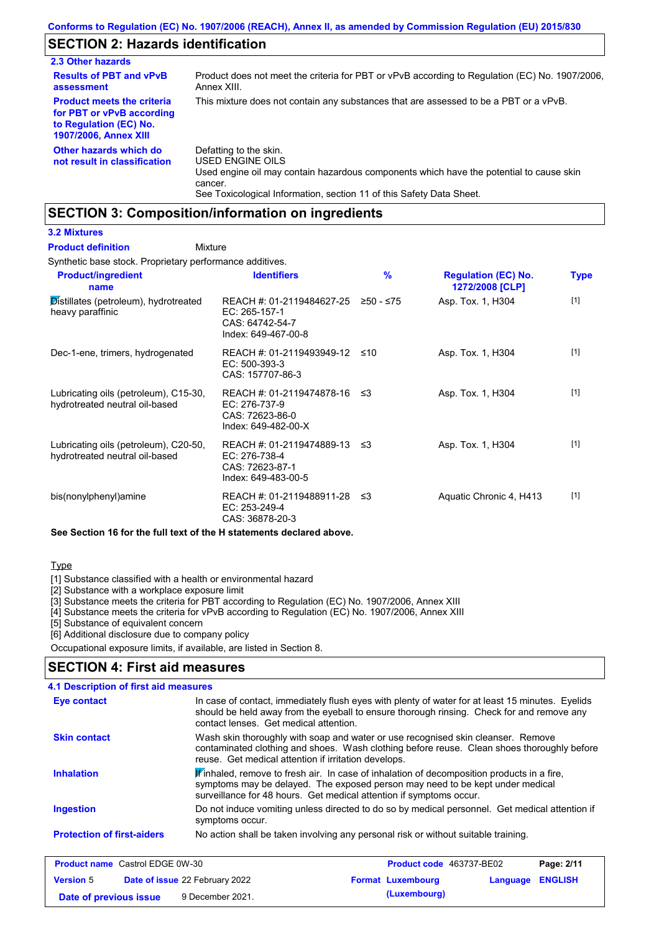## **SECTION 2: Hazards identification**

| 2.3 Other hazards                                                                                                        |                                                                                                                                                  |
|--------------------------------------------------------------------------------------------------------------------------|--------------------------------------------------------------------------------------------------------------------------------------------------|
| <b>Results of PBT and vPvB</b><br>assessment                                                                             | Product does not meet the criteria for PBT or vPvB according to Regulation (EC) No. 1907/2006.<br>Annex XIII.                                    |
| <b>Product meets the criteria</b><br>for PBT or vPvB according<br>to Regulation (EC) No.<br><b>1907/2006, Annex XIII</b> | This mixture does not contain any substances that are assessed to be a PBT or a vPvB.                                                            |
| Other hazards which do<br>not result in classification                                                                   | Defatting to the skin.<br>USED ENGINE OILS<br>Used engine oil may contain hazardous components which have the potential to cause skin<br>cancer. |

See Toxicological Information, section 11 of this Safety Data Sheet.

## **SECTION 3: Composition/information on ingredients**

#### **3.2 Mixtures**

#### Mixture **Product definition**

Synthetic base stock. Proprietary performance additives.

| <b>Product/ingredient</b><br>name                                       | <b>Identifiers</b>                                                                      | $\%$      | <b>Regulation (EC) No.</b><br>1272/2008 [CLP] | <b>Type</b> |
|-------------------------------------------------------------------------|-----------------------------------------------------------------------------------------|-----------|-----------------------------------------------|-------------|
| Distillates (petroleum), hydrotreated<br>heavy paraffinic               | REACH #: 01-2119484627-25<br>EC: 265-157-1<br>CAS: 64742-54-7<br>Index: 649-467-00-8    | ≥50 - ≤75 | Asp. Tox. 1, H304                             | $[1]$       |
| Dec-1-ene, trimers, hydrogenated                                        | REACH #: 01-2119493949-12<br>EC: 500-393-3<br>CAS: 157707-86-3                          | ≤10       | Asp. Tox. 1, H304                             | $[1]$       |
| Lubricating oils (petroleum), C15-30,<br>hydrotreated neutral oil-based | REACH #: 01-2119474878-16<br>EC: 276-737-9<br>CAS: 72623-86-0<br>Index: 649-482-00-X    | ו≥ ≤      | Asp. Tox. 1, H304                             | $[1]$       |
| Lubricating oils (petroleum), C20-50,<br>hydrotreated neutral oil-based | REACH #: 01-2119474889-13 ≤3<br>EC: 276-738-4<br>CAS: 72623-87-1<br>Index: 649-483-00-5 |           | Asp. Tox. 1, H304                             | $[1]$       |
| bis(nonylphenyl)amine                                                   | REACH #: 01-2119488911-28<br>EC: 253-249-4<br>CAS: 36878-20-3                           | ו≥ ≤      | Aquatic Chronic 4, H413                       | $[1]$       |

**See Section 16 for the full text of the H statements declared above.**

#### Type

[1] Substance classified with a health or environmental hazard

[2] Substance with a workplace exposure limit

[3] Substance meets the criteria for PBT according to Regulation (EC) No. 1907/2006, Annex XIII

[4] Substance meets the criteria for vPvB according to Regulation (EC) No. 1907/2006, Annex XIII

[5] Substance of equivalent concern

[6] Additional disclosure due to company policy

Occupational exposure limits, if available, are listed in Section 8.

### **SECTION 4: First aid measures**

| <b>Eye contact</b>                | In case of contact, immediately flush eyes with plenty of water for at least 15 minutes. Eyelids<br>should be held away from the eyeball to ensure thorough rinsing. Check for and remove any<br>contact lenses. Get medical attention.                       |
|-----------------------------------|---------------------------------------------------------------------------------------------------------------------------------------------------------------------------------------------------------------------------------------------------------------|
| <b>Skin contact</b>               | Wash skin thoroughly with soap and water or use recognised skin cleanser. Remove<br>contaminated clothing and shoes. Wash clothing before reuse. Clean shoes thoroughly before<br>reuse. Get medical attention if irritation develops.                        |
| <b>Inhalation</b>                 | $\mathbf{F}$ inhaled, remove to fresh air. In case of inhalation of decomposition products in a fire,<br>symptoms may be delayed. The exposed person may need to be kept under medical<br>surveillance for 48 hours. Get medical attention if symptoms occur. |
| <b>Ingestion</b>                  | Do not induce vomiting unless directed to do so by medical personnel. Get medical attention if<br>symptoms occur.                                                                                                                                             |
| <b>Protection of first-aiders</b> | No action shall be taken involving any personal risk or without suitable training.                                                                                                                                                                            |

| <b>Product name</b> Castrol EDGE 0W-30                    |  | <b>Product code</b> 463737-BE02 |                          | Page: 2/11       |  |
|-----------------------------------------------------------|--|---------------------------------|--------------------------|------------------|--|
| <b>Date of issue 22 February 2022</b><br><b>Version 5</b> |  |                                 | <b>Format Luxembourg</b> | Language ENGLISH |  |
| 9 December 2021.<br>Date of previous issue                |  |                                 | (Luxembourg)             |                  |  |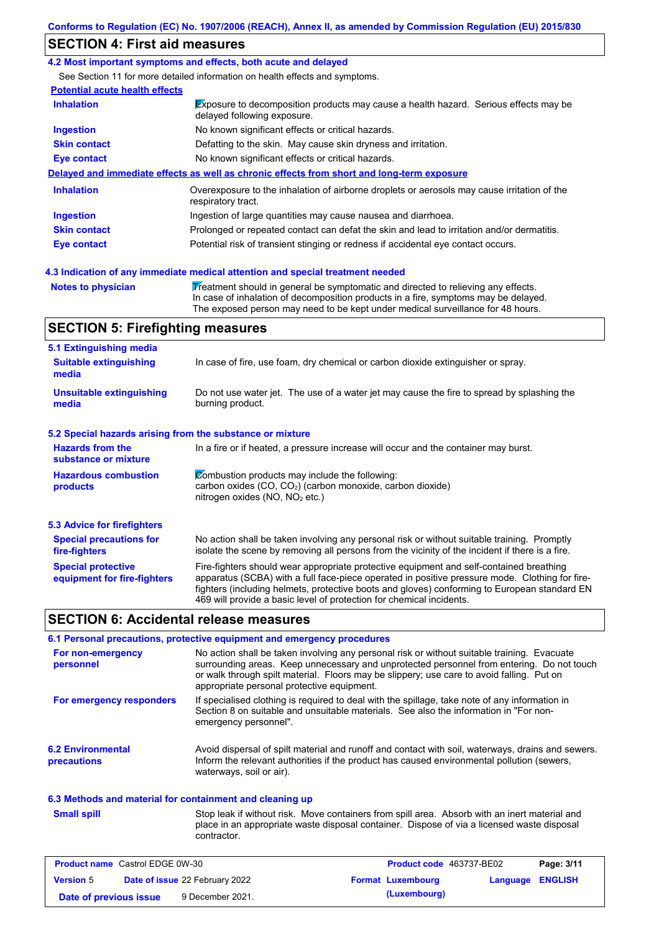## **SECTION 4: First aid measures**

#### **4.2 Most important symptoms and effects, both acute and delayed**

See Section 11 for more detailed information on health effects and symptoms.

| <b>Potential acute health effects</b> |                                                                                                                            |
|---------------------------------------|----------------------------------------------------------------------------------------------------------------------------|
| <b>Inhalation</b>                     | <b>Exposure to decomposition products may cause a health hazard.</b> Serious effects may be<br>delayed following exposure. |
| <b>Ingestion</b>                      | No known significant effects or critical hazards.                                                                          |
| <b>Skin contact</b>                   | Defatting to the skin. May cause skin dryness and irritation.                                                              |
| Eye contact                           | No known significant effects or critical hazards.                                                                          |
|                                       | Delayed and immediate effects as well as chronic effects from short and long-term exposure                                 |
| <b>Inhalation</b>                     | Overexposure to the inhalation of airborne droplets or aerosols may cause irritation of the<br>respiratory tract.          |
| <b>Ingestion</b>                      | Ingestion of large quantities may cause nausea and diarrhoea.                                                              |
| <b>Skin contact</b>                   | Prolonged or repeated contact can defat the skin and lead to irritation and/or dermatitis.                                 |
|                                       |                                                                                                                            |

**Notes to physician Treatment should in general be symptomatic and directed to relieving any effects.** In case of inhalation of decomposition products in a fire, symptoms may be delayed. The exposed person may need to be kept under medical surveillance for 48 hours.

### **SECTION 5: Firefighting measures**

| 5.1 Extinguishing media                                   |                                                                                                                                                                                                                                                                                                                                                                   |
|-----------------------------------------------------------|-------------------------------------------------------------------------------------------------------------------------------------------------------------------------------------------------------------------------------------------------------------------------------------------------------------------------------------------------------------------|
| <b>Suitable extinguishing</b><br>media                    | In case of fire, use foam, dry chemical or carbon dioxide extinguisher or spray.                                                                                                                                                                                                                                                                                  |
| <b>Unsuitable extinguishing</b><br>media                  | Do not use water jet. The use of a water jet may cause the fire to spread by splashing the<br>burning product.                                                                                                                                                                                                                                                    |
| 5.2 Special hazards arising from the substance or mixture |                                                                                                                                                                                                                                                                                                                                                                   |
| <b>Hazards from the</b><br>substance or mixture           | In a fire or if heated, a pressure increase will occur and the container may burst.                                                                                                                                                                                                                                                                               |
| <b>Hazardous combustion</b><br>products                   | Combustion products may include the following:<br>carbon oxides (CO, CO <sub>2</sub> ) (carbon monoxide, carbon dioxide)<br>nitrogen oxides ( $NO$ , $NO2$ etc.)                                                                                                                                                                                                  |
| 5.3 Advice for firefighters                               |                                                                                                                                                                                                                                                                                                                                                                   |
| <b>Special precautions for</b><br>fire-fighters           | No action shall be taken involving any personal risk or without suitable training. Promptly<br>isolate the scene by removing all persons from the vicinity of the incident if there is a fire.                                                                                                                                                                    |
| <b>Special protective</b><br>equipment for fire-fighters  | Fire-fighters should wear appropriate protective equipment and self-contained breathing<br>apparatus (SCBA) with a full face-piece operated in positive pressure mode. Clothing for fire-<br>fighters (including helmets, protective boots and gloves) conforming to European standard EN<br>469 will provide a basic level of protection for chemical incidents. |

#### **SECTION 6: Accidental release measures**

|                                         | 6.1 Personal precautions, protective equipment and emergency procedures                                                                                                                                                                                                                                                             |
|-----------------------------------------|-------------------------------------------------------------------------------------------------------------------------------------------------------------------------------------------------------------------------------------------------------------------------------------------------------------------------------------|
| For non-emergency<br>personnel          | No action shall be taken involving any personal risk or without suitable training. Evacuate<br>surrounding areas. Keep unnecessary and unprotected personnel from entering. Do not touch<br>or walk through spilt material. Floors may be slippery; use care to avoid falling. Put on<br>appropriate personal protective equipment. |
| For emergency responders                | If specialised clothing is required to deal with the spillage, take note of any information in<br>Section 8 on suitable and unsuitable materials. See also the information in "For non-<br>emergency personnel".                                                                                                                    |
| <b>6.2 Environmental</b><br>precautions | Avoid dispersal of spilt material and runoff and contact with soil, waterways, drains and sewers.<br>Inform the relevant authorities if the product has caused environmental pollution (sewers,<br>waterways, soil or air).                                                                                                         |

#### **6.3 Methods and material for containment and cleaning up**

**Small spill**

Stop leak if without risk. Move containers from spill area. Absorb with an inert material and place in an appropriate waste disposal container. Dispose of via a licensed waste disposal contractor.

| <b>Product name</b> Castrol EDGE 0W-30 |                                       | <b>Product code</b> 463737-BE02 |  | Page: 3/11               |                         |  |
|----------------------------------------|---------------------------------------|---------------------------------|--|--------------------------|-------------------------|--|
| <b>Version 5</b>                       | <b>Date of issue 22 February 2022</b> |                                 |  | <b>Format Luxembourg</b> | <b>Language ENGLISH</b> |  |
| Date of previous issue                 |                                       | 9 December 2021.                |  | (Luxembourg)             |                         |  |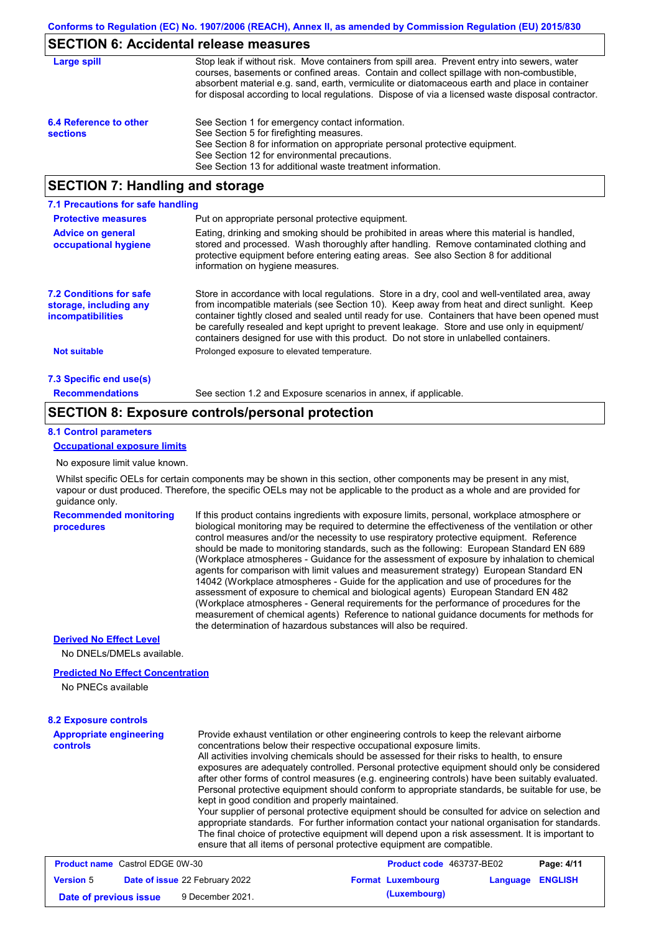### **SECTION 6: Accidental release measures**

| Large spill                               | Stop leak if without risk. Move containers from spill area. Prevent entry into sewers, water<br>courses, basements or confined areas. Contain and collect spillage with non-combustible,<br>absorbent material e.g. sand, earth, vermiculite or diatomaceous earth and place in container<br>for disposal according to local regulations. Dispose of via a licensed waste disposal contractor. |
|-------------------------------------------|------------------------------------------------------------------------------------------------------------------------------------------------------------------------------------------------------------------------------------------------------------------------------------------------------------------------------------------------------------------------------------------------|
| 6.4 Reference to other<br><b>sections</b> | See Section 1 for emergency contact information.<br>See Section 5 for firefighting measures.<br>See Section 8 for information on appropriate personal protective equipment.<br>See Section 12 for environmental precautions.<br>See Section 13 for additional waste treatment information.                                                                                                     |

## **SECTION 7: Handling and storage**

| 7.1 Precautions for safe handling                                                    |                                                                                                                                                                                                                                                                                                                                                                                                                                                                                          |
|--------------------------------------------------------------------------------------|------------------------------------------------------------------------------------------------------------------------------------------------------------------------------------------------------------------------------------------------------------------------------------------------------------------------------------------------------------------------------------------------------------------------------------------------------------------------------------------|
| <b>Protective measures</b>                                                           | Put on appropriate personal protective equipment.                                                                                                                                                                                                                                                                                                                                                                                                                                        |
| <b>Advice on general</b><br>occupational hygiene                                     | Eating, drinking and smoking should be prohibited in areas where this material is handled,<br>stored and processed. Wash thoroughly after handling. Remove contaminated clothing and<br>protective equipment before entering eating areas. See also Section 8 for additional<br>information on hygiene measures.                                                                                                                                                                         |
| <b>7.2 Conditions for safe</b><br>storage, including any<br><i>incompatibilities</i> | Store in accordance with local requlations. Store in a dry, cool and well-ventilated area, away<br>from incompatible materials (see Section 10). Keep away from heat and direct sunlight. Keep<br>container tightly closed and sealed until ready for use. Containers that have been opened must<br>be carefully resealed and kept upright to prevent leakage. Store and use only in equipment/<br>containers designed for use with this product. Do not store in unlabelled containers. |
| <b>Not suitable</b>                                                                  | Prolonged exposure to elevated temperature.                                                                                                                                                                                                                                                                                                                                                                                                                                              |
| 7.3 Specific end use(s)                                                              |                                                                                                                                                                                                                                                                                                                                                                                                                                                                                          |
| <b>Recommendations</b>                                                               | See section 1.2 and Exposure scenarios in annex, if applicable.                                                                                                                                                                                                                                                                                                                                                                                                                          |

### **SECTION 8: Exposure controls/personal protection**

#### **8.1 Control parameters**

#### **Occupational exposure limits**

No exposure limit value known.

Whilst specific OELs for certain components may be shown in this section, other components may be present in any mist, vapour or dust produced. Therefore, the specific OELs may not be applicable to the product as a whole and are provided for guidance only.

#### **Recommended monitoring procedures**

If this product contains ingredients with exposure limits, personal, workplace atmosphere or biological monitoring may be required to determine the effectiveness of the ventilation or other control measures and/or the necessity to use respiratory protective equipment. Reference should be made to monitoring standards, such as the following: European Standard EN 689 (Workplace atmospheres - Guidance for the assessment of exposure by inhalation to chemical agents for comparison with limit values and measurement strategy) European Standard EN 14042 (Workplace atmospheres - Guide for the application and use of procedures for the assessment of exposure to chemical and biological agents) European Standard EN 482 (Workplace atmospheres - General requirements for the performance of procedures for the measurement of chemical agents) Reference to national guidance documents for methods for the determination of hazardous substances will also be required.

#### **Derived No Effect Level**

No DNELs/DMELs available.

#### **Predicted No Effect Concentration**

No PNECs available

#### **8.2 Exposure controls**

**Appropriate engineering controls**

Provide exhaust ventilation or other engineering controls to keep the relevant airborne concentrations below their respective occupational exposure limits. All activities involving chemicals should be assessed for their risks to health, to ensure exposures are adequately controlled. Personal protective equipment should only be considered after other forms of control measures (e.g. engineering controls) have been suitably evaluated. Personal protective equipment should conform to appropriate standards, be suitable for use, be kept in good condition and properly maintained. Your supplier of personal protective equipment should be consulted for advice on selection and

appropriate standards. For further information contact your national organisation for standards. The final choice of protective equipment will depend upon a risk assessment. It is important to ensure that all items of personal protective equipment are compatible.

| <b>Product name</b> Castrol EDGE 0W-30 |  | <b>Product code</b> 463737-BE02       |  | Page: 4/11               |                         |  |
|----------------------------------------|--|---------------------------------------|--|--------------------------|-------------------------|--|
| <b>Version 5</b>                       |  | <b>Date of issue 22 February 2022</b> |  | <b>Format Luxembourg</b> | <b>Language ENGLISH</b> |  |
| Date of previous issue                 |  | 9 December 2021.                      |  | (Luxembourg)             |                         |  |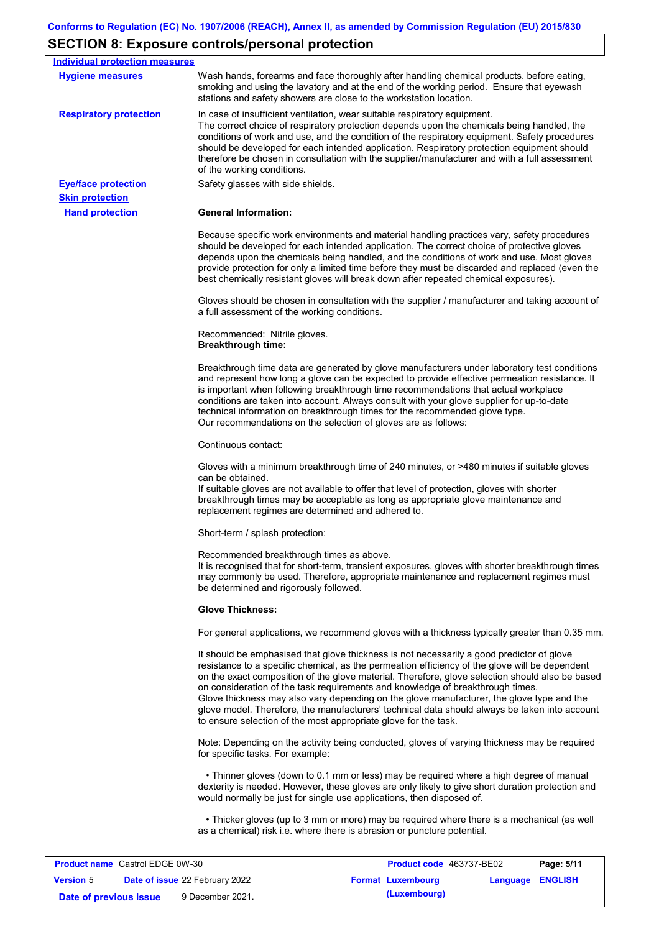## **SECTION 8: Exposure controls/personal protection**

| <b>Individual protection measures</b>  |                                                                                                                                                                                                                                                                                                                                                                                                                                                                                                                                                                                                                                                   |
|----------------------------------------|---------------------------------------------------------------------------------------------------------------------------------------------------------------------------------------------------------------------------------------------------------------------------------------------------------------------------------------------------------------------------------------------------------------------------------------------------------------------------------------------------------------------------------------------------------------------------------------------------------------------------------------------------|
| <b>Hygiene measures</b>                | Wash hands, forearms and face thoroughly after handling chemical products, before eating,<br>smoking and using the lavatory and at the end of the working period. Ensure that eyewash<br>stations and safety showers are close to the workstation location.                                                                                                                                                                                                                                                                                                                                                                                       |
| <b>Respiratory protection</b>          | In case of insufficient ventilation, wear suitable respiratory equipment.<br>The correct choice of respiratory protection depends upon the chemicals being handled, the<br>conditions of work and use, and the condition of the respiratory equipment. Safety procedures<br>should be developed for each intended application. Respiratory protection equipment should<br>therefore be chosen in consultation with the supplier/manufacturer and with a full assessment<br>of the working conditions.                                                                                                                                             |
| <b>Eye/face protection</b>             | Safety glasses with side shields.                                                                                                                                                                                                                                                                                                                                                                                                                                                                                                                                                                                                                 |
| <b>Skin protection</b>                 |                                                                                                                                                                                                                                                                                                                                                                                                                                                                                                                                                                                                                                                   |
| <b>Hand protection</b>                 | <b>General Information:</b>                                                                                                                                                                                                                                                                                                                                                                                                                                                                                                                                                                                                                       |
|                                        | Because specific work environments and material handling practices vary, safety procedures<br>should be developed for each intended application. The correct choice of protective gloves<br>depends upon the chemicals being handled, and the conditions of work and use. Most gloves<br>provide protection for only a limited time before they must be discarded and replaced (even the<br>best chemically resistant gloves will break down after repeated chemical exposures).                                                                                                                                                                  |
|                                        | Gloves should be chosen in consultation with the supplier / manufacturer and taking account of<br>a full assessment of the working conditions.                                                                                                                                                                                                                                                                                                                                                                                                                                                                                                    |
|                                        | Recommended: Nitrile gloves.<br><b>Breakthrough time:</b>                                                                                                                                                                                                                                                                                                                                                                                                                                                                                                                                                                                         |
|                                        | Breakthrough time data are generated by glove manufacturers under laboratory test conditions<br>and represent how long a glove can be expected to provide effective permeation resistance. It<br>is important when following breakthrough time recommendations that actual workplace<br>conditions are taken into account. Always consult with your glove supplier for up-to-date<br>technical information on breakthrough times for the recommended glove type.<br>Our recommendations on the selection of gloves are as follows:                                                                                                                |
|                                        | Continuous contact:                                                                                                                                                                                                                                                                                                                                                                                                                                                                                                                                                                                                                               |
|                                        | Gloves with a minimum breakthrough time of 240 minutes, or >480 minutes if suitable gloves<br>can be obtained.<br>If suitable gloves are not available to offer that level of protection, gloves with shorter<br>breakthrough times may be acceptable as long as appropriate glove maintenance and<br>replacement regimes are determined and adhered to.                                                                                                                                                                                                                                                                                          |
|                                        | Short-term / splash protection:                                                                                                                                                                                                                                                                                                                                                                                                                                                                                                                                                                                                                   |
|                                        | Recommended breakthrough times as above.<br>It is recognised that for short-term, transient exposures, gloves with shorter breakthrough times<br>may commonly be used. Therefore, appropriate maintenance and replacement regimes must<br>be determined and rigorously followed.                                                                                                                                                                                                                                                                                                                                                                  |
|                                        | <b>Glove Thickness:</b>                                                                                                                                                                                                                                                                                                                                                                                                                                                                                                                                                                                                                           |
|                                        | For general applications, we recommend gloves with a thickness typically greater than 0.35 mm.                                                                                                                                                                                                                                                                                                                                                                                                                                                                                                                                                    |
|                                        | It should be emphasised that glove thickness is not necessarily a good predictor of glove<br>resistance to a specific chemical, as the permeation efficiency of the glove will be dependent<br>on the exact composition of the glove material. Therefore, glove selection should also be based<br>on consideration of the task requirements and knowledge of breakthrough times.<br>Glove thickness may also vary depending on the glove manufacturer, the glove type and the<br>glove model. Therefore, the manufacturers' technical data should always be taken into account<br>to ensure selection of the most appropriate glove for the task. |
|                                        | Note: Depending on the activity being conducted, gloves of varying thickness may be required<br>for specific tasks. For example:                                                                                                                                                                                                                                                                                                                                                                                                                                                                                                                  |
|                                        | • Thinner gloves (down to 0.1 mm or less) may be required where a high degree of manual<br>dexterity is needed. However, these gloves are only likely to give short duration protection and<br>would normally be just for single use applications, then disposed of.                                                                                                                                                                                                                                                                                                                                                                              |
|                                        | • Thicker gloves (up to 3 mm or more) may be required where there is a mechanical (as well<br>as a chemical) risk i.e. where there is abrasion or puncture potential.                                                                                                                                                                                                                                                                                                                                                                                                                                                                             |
| <b>Product name</b> Castrol EDGE 0W-30 | <b>Product code</b> 463737-BE02<br>Page: 5/11                                                                                                                                                                                                                                                                                                                                                                                                                                                                                                                                                                                                     |

| <b>Product name</b> Castrol EDGE 0W-30 |  | <b>Product code</b> 463737-BE02       |  | Page: 5/11               |                  |  |
|----------------------------------------|--|---------------------------------------|--|--------------------------|------------------|--|
| <b>Version</b> 5                       |  | <b>Date of issue 22 February 2022</b> |  | <b>Format Luxembourg</b> | Language ENGLISH |  |
| Date of previous issue                 |  | 9 December 2021.                      |  | (Luxembourg)             |                  |  |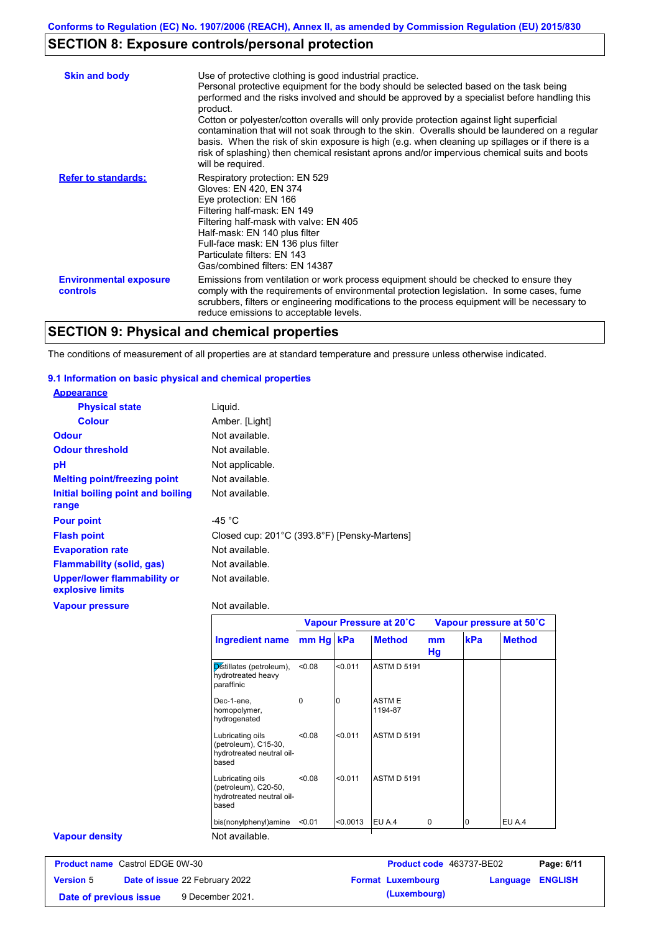## **SECTION 8: Exposure controls/personal protection**

| <b>Skin and body</b>                             | Use of protective clothing is good industrial practice.<br>Personal protective equipment for the body should be selected based on the task being<br>performed and the risks involved and should be approved by a specialist before handling this<br>product.<br>Cotton or polyester/cotton overalls will only provide protection against light superficial<br>contamination that will not soak through to the skin. Overalls should be laundered on a regular<br>basis. When the risk of skin exposure is high (e.g. when cleaning up spillages or if there is a<br>risk of splashing) then chemical resistant aprons and/or impervious chemical suits and boots<br>will be required. |
|--------------------------------------------------|---------------------------------------------------------------------------------------------------------------------------------------------------------------------------------------------------------------------------------------------------------------------------------------------------------------------------------------------------------------------------------------------------------------------------------------------------------------------------------------------------------------------------------------------------------------------------------------------------------------------------------------------------------------------------------------|
| <b>Refer to standards:</b>                       | Respiratory protection: EN 529<br>Gloves: EN 420, EN 374<br>Eye protection: EN 166<br>Filtering half-mask: EN 149<br>Filtering half-mask with valve: EN 405<br>Half-mask: EN 140 plus filter<br>Full-face mask: EN 136 plus filter<br>Particulate filters: EN 143<br>Gas/combined filters: EN 14387                                                                                                                                                                                                                                                                                                                                                                                   |
| <b>Environmental exposure</b><br><b>controls</b> | Emissions from ventilation or work process equipment should be checked to ensure they<br>comply with the requirements of environmental protection legislation. In some cases, fume<br>scrubbers, filters or engineering modifications to the process equipment will be necessary to<br>reduce emissions to acceptable levels.                                                                                                                                                                                                                                                                                                                                                         |

## **SECTION 9: Physical and chemical properties**

The conditions of measurement of all properties are at standard temperature and pressure unless otherwise indicated.

#### **9.1 Information on basic physical and chemical properties**

| <b>Appearance</b>                                      |                                              |
|--------------------------------------------------------|----------------------------------------------|
| <b>Physical state</b>                                  | Liquid.                                      |
| <b>Colour</b>                                          | Amber. [Light]                               |
| <b>Odour</b>                                           | Not available.                               |
| <b>Odour threshold</b>                                 | Not available.                               |
| рH                                                     | Not applicable.                              |
| <b>Melting point/freezing point</b>                    | Not available.                               |
| Initial boiling point and boiling<br>range             | Not available.                               |
| <b>Pour point</b>                                      | -45 $^{\circ}$ C                             |
| <b>Flash point</b>                                     | Closed cup: 201°C (393.8°F) [Pensky-Martens] |
| <b>Evaporation rate</b>                                | Not available.                               |
| Flammability (solid, gas)                              | Not available.                               |
| <b>Upper/lower flammability or</b><br>explosive limits | Not available.                               |
| <b>Vapour pressure</b>                                 | Not available.                               |

|                                                                                | Vapour Pressure at 20°C |          |                         | Vapour pressure at 50°C |             |               |
|--------------------------------------------------------------------------------|-------------------------|----------|-------------------------|-------------------------|-------------|---------------|
| <b>Ingredient name</b>                                                         | mm Hg kPa               |          | <b>Method</b>           | mm<br>Hg                | kPa         | <b>Method</b> |
| Distillates (petroleum),<br>hydrotreated heavy<br>paraffinic                   | < 0.08                  | < 0.011  | <b>ASTM D 5191</b>      |                         |             |               |
| Dec-1-ene,<br>homopolymer,<br>hydrogenated                                     | $\Omega$                | $\Omega$ | <b>ASTME</b><br>1194-87 |                         |             |               |
| Lubricating oils<br>(petroleum), C15-30,<br>hydrotreated neutral oil-<br>based | < 0.08                  | < 0.011  | <b>ASTM D 5191</b>      |                         |             |               |
| Lubricating oils<br>(petroleum), C20-50,<br>hydrotreated neutral oil-<br>based | < 0.08                  | < 0.011  | <b>ASTM D 5191</b>      |                         |             |               |
| bis(nonylphenyl)amine                                                          | < 0.01                  | < 0.0013 | EU A.4                  | $\Omega$                | $\mathbf 0$ | EU A.4        |

#### **Vapour density**

| <b>Product name</b> Castrol EDGE 0W-30 |  | <b>Product code</b> 463737-BE02       |  | Page: 6/11               |                         |  |
|----------------------------------------|--|---------------------------------------|--|--------------------------|-------------------------|--|
| <b>Version 5</b>                       |  | <b>Date of issue 22 February 2022</b> |  | <b>Format Luxembourg</b> | <b>Language ENGLISH</b> |  |
| Date of previous issue                 |  | 9 December 2021.                      |  | (Luxembourg)             |                         |  |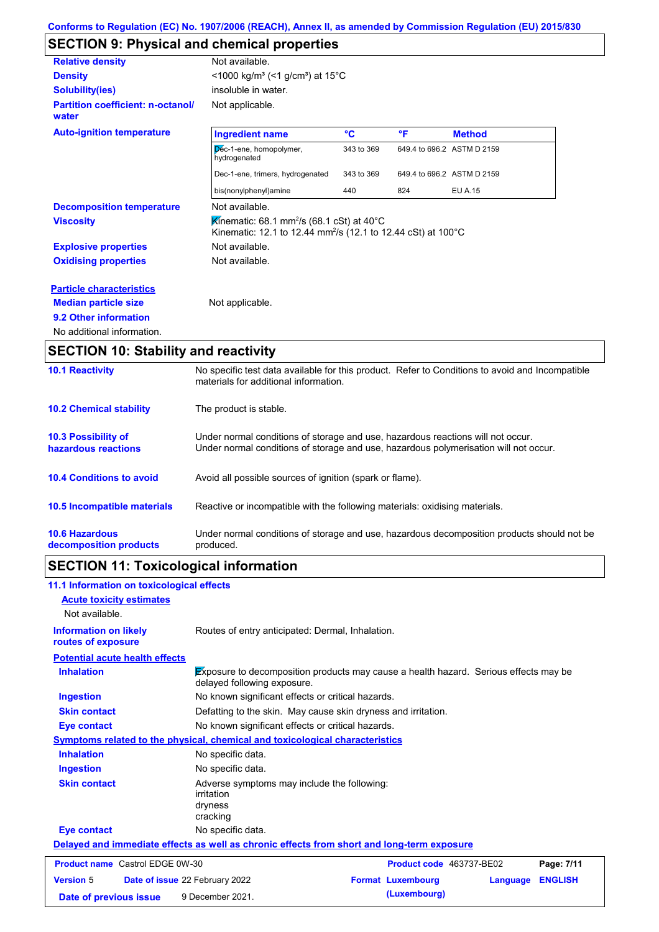# **SECTION 9: Physical and chemical properties**

| <b>Relative density</b>                           | Not available.                                                                                                                               |            |                            |                |
|---------------------------------------------------|----------------------------------------------------------------------------------------------------------------------------------------------|------------|----------------------------|----------------|
| <b>Density</b>                                    | <1000 kg/m <sup>3</sup> (<1 g/cm <sup>3</sup> ) at 15°C                                                                                      |            |                            |                |
| <b>Solubility(ies)</b>                            | insoluble in water.                                                                                                                          |            |                            |                |
| <b>Partition coefficient: n-octanol/</b><br>water | Not applicable.                                                                                                                              |            |                            |                |
| <b>Auto-ignition temperature</b>                  | <b>Ingredient name</b>                                                                                                                       | °C         | °F                         | <b>Method</b>  |
|                                                   | Dec-1-ene, homopolymer,<br>hydrogenated                                                                                                      | 343 to 369 | 649.4 to 696.2 ASTM D 2159 |                |
|                                                   | Dec-1-ene, trimers, hydrogenated                                                                                                             | 343 to 369 | 649.4 to 696.2 ASTM D 2159 |                |
|                                                   | bis(nonylphenyl)amine                                                                                                                        | 440        | 824                        | <b>EU A.15</b> |
| <b>Decomposition temperature</b>                  | Not available.                                                                                                                               |            |                            |                |
| <b>Viscosity</b>                                  | Kinematic: 68.1 mm <sup>2</sup> /s (68.1 cSt) at 40 $^{\circ}$ C<br>Kinematic: 12.1 to 12.44 mm <sup>2</sup> /s (12.1 to 12.44 cSt) at 100°C |            |                            |                |
| <b>Explosive properties</b>                       | Not available.                                                                                                                               |            |                            |                |
| <b>Oxidising properties</b>                       | Not available.                                                                                                                               |            |                            |                |
| <b>Particle characteristics</b>                   |                                                                                                                                              |            |                            |                |
| <b>Median particle size</b>                       | Not applicable.                                                                                                                              |            |                            |                |
| 9.2 Other information                             |                                                                                                                                              |            |                            |                |
|                                                   |                                                                                                                                              |            |                            |                |

### **SECTION 10: Stability and reactivity**

| <b>10.1 Reactivity</b>                            | No specific test data available for this product. Refer to Conditions to avoid and Incompatible<br>materials for additional information.                                |
|---------------------------------------------------|-------------------------------------------------------------------------------------------------------------------------------------------------------------------------|
| <b>10.2 Chemical stability</b>                    | The product is stable.                                                                                                                                                  |
| <b>10.3 Possibility of</b><br>hazardous reactions | Under normal conditions of storage and use, hazardous reactions will not occur.<br>Under normal conditions of storage and use, hazardous polymerisation will not occur. |
| <b>10.4 Conditions to avoid</b>                   | Avoid all possible sources of ignition (spark or flame).                                                                                                                |
| 10.5 Incompatible materials                       | Reactive or incompatible with the following materials: oxidising materials.                                                                                             |
| <b>10.6 Hazardous</b><br>decomposition products   | Under normal conditions of storage and use, hazardous decomposition products should not be<br>produced.                                                                 |

# **SECTION 11: Toxicological information**

| 11.1 Information on toxicological effects          |                                                                                                                            |
|----------------------------------------------------|----------------------------------------------------------------------------------------------------------------------------|
| <b>Acute toxicity estimates</b>                    |                                                                                                                            |
| Not available.                                     |                                                                                                                            |
| <b>Information on likely</b><br>routes of exposure | Routes of entry anticipated: Dermal, Inhalation.                                                                           |
| <b>Potential acute health effects</b>              |                                                                                                                            |
| <b>Inhalation</b>                                  | <b>Exposure to decomposition products may cause a health hazard. Serious effects may be</b><br>delayed following exposure. |
| <b>Ingestion</b>                                   | No known significant effects or critical hazards.                                                                          |
| <b>Skin contact</b>                                | Defatting to the skin. May cause skin dryness and irritation.                                                              |
| <b>Eye contact</b>                                 | No known significant effects or critical hazards.                                                                          |
|                                                    | <b>Symptoms related to the physical, chemical and toxicological characteristics</b>                                        |
| <b>Inhalation</b>                                  | No specific data.                                                                                                          |
| <b>Ingestion</b>                                   | No specific data.                                                                                                          |
| <b>Skin contact</b>                                | Adverse symptoms may include the following:<br>irritation<br>dryness<br>cracking                                           |
| <b>Eye contact</b>                                 | No specific data.                                                                                                          |
|                                                    | Delayed and immediate effects as well as chronic effects from short and long-term exposure                                 |
| <b>Product name</b> Castrol EDGE 0W-30             | Product code 463737-BE02<br>Page: 7/11                                                                                     |
| <b>Version 5</b>                                   | <b>Format Luxembourg</b><br><b>ENGLISH</b><br>Date of issue 22 February 2022<br>Language                                   |
| Date of previous issue                             | (Luxembourg)<br>9 December 2021.                                                                                           |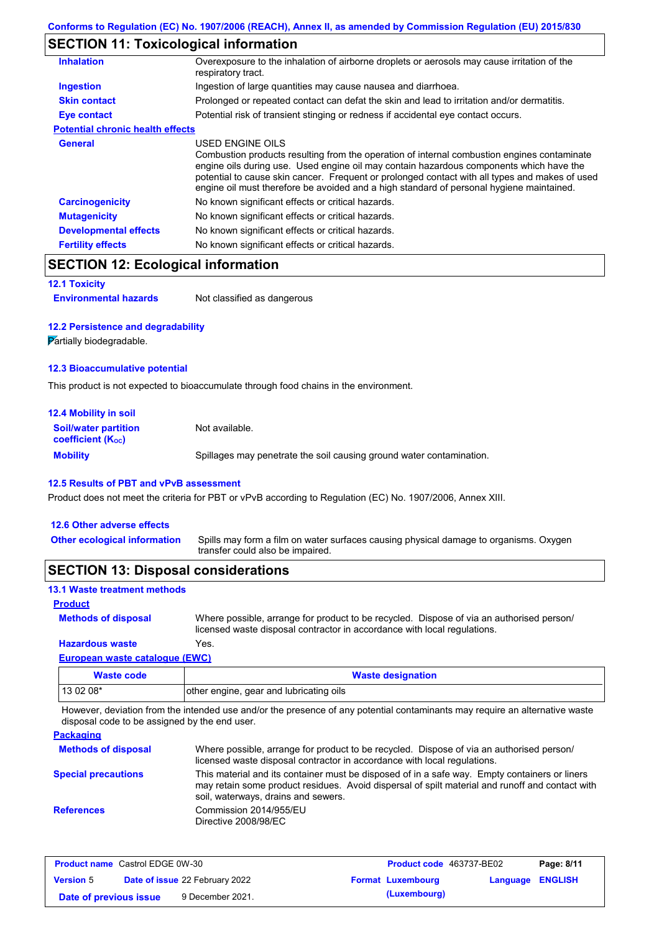## **SECTION 11: Toxicological information**

| <b>Inhalation</b>                       | Overexposure to the inhalation of airborne droplets or aerosols may cause irritation of the<br>respiratory tract.                                                                                                                                                                                                                                                                                        |
|-----------------------------------------|----------------------------------------------------------------------------------------------------------------------------------------------------------------------------------------------------------------------------------------------------------------------------------------------------------------------------------------------------------------------------------------------------------|
| Ingestion                               | Ingestion of large quantities may cause nausea and diarrhoea.                                                                                                                                                                                                                                                                                                                                            |
| <b>Skin contact</b>                     | Prolonged or repeated contact can defat the skin and lead to irritation and/or dermatitis.                                                                                                                                                                                                                                                                                                               |
| Eye contact                             | Potential risk of transient stinging or redness if accidental eye contact occurs.                                                                                                                                                                                                                                                                                                                        |
| <b>Potential chronic health effects</b> |                                                                                                                                                                                                                                                                                                                                                                                                          |
| General                                 | USED ENGINE OILS<br>Combustion products resulting from the operation of internal combustion engines contaminate<br>engine oils during use. Used engine oil may contain hazardous components which have the<br>potential to cause skin cancer. Frequent or prolonged contact with all types and makes of used<br>engine oil must therefore be avoided and a high standard of personal hygiene maintained. |
| <b>Carcinogenicity</b>                  | No known significant effects or critical hazards.                                                                                                                                                                                                                                                                                                                                                        |
| <b>Mutagenicity</b>                     | No known significant effects or critical hazards.                                                                                                                                                                                                                                                                                                                                                        |
| <b>Developmental effects</b>            | No known significant effects or critical hazards.                                                                                                                                                                                                                                                                                                                                                        |
| <b>Fertility effects</b>                | No known significant effects or critical hazards.                                                                                                                                                                                                                                                                                                                                                        |
|                                         |                                                                                                                                                                                                                                                                                                                                                                                                          |

## **SECTION 12: Ecological information**

```
12.1 Toxicity
```
**Environmental hazards** Not classified as dangerous

#### **12.2 Persistence and degradability**

**Partially biodegradable.** 

#### **12.3 Bioaccumulative potential**

This product is not expected to bioaccumulate through food chains in the environment.

| <b>12.4 Mobility in soil</b>                                  |                                                                      |
|---------------------------------------------------------------|----------------------------------------------------------------------|
| <b>Soil/water partition</b><br>coefficient (K <sub>oc</sub> ) | Not available.                                                       |
| <b>Mobility</b>                                               | Spillages may penetrate the soil causing ground water contamination. |

#### **12.5 Results of PBT and vPvB assessment**

Product does not meet the criteria for PBT or vPvB according to Regulation (EC) No. 1907/2006, Annex XIII.

#### **12.6 Other adverse effects**

Spills may form a film on water surfaces causing physical damage to organisms. Oxygen transfer could also be impaired. **Other ecological information**

### **SECTION 13: Disposal considerations**

#### **13.1 Waste treatment methods**

#### **Product**

**Methods of disposal**

Where possible, arrange for product to be recycled. Dispose of via an authorised person/ licensed waste disposal contractor in accordance with local regulations.

#### **European waste catalogue (EWC) Hazardous waste** Yes.

| Waste code | <b>Waste designation</b>                |
|------------|-----------------------------------------|
| 13 02 08*  | other engine, gear and lubricating oils |

However, deviation from the intended use and/or the presence of any potential contaminants may require an alternative waste disposal code to be assigned by the end user.

**Packaging**

| <b>Fachayling</b>          |                                                                                                                                                                                                                                         |
|----------------------------|-----------------------------------------------------------------------------------------------------------------------------------------------------------------------------------------------------------------------------------------|
| <b>Methods of disposal</b> | Where possible, arrange for product to be recycled. Dispose of via an authorised person/<br>licensed waste disposal contractor in accordance with local regulations.                                                                    |
| <b>Special precautions</b> | This material and its container must be disposed of in a safe way. Empty containers or liners<br>may retain some product residues. Avoid dispersal of spilt material and runoff and contact with<br>soil, waterways, drains and sewers. |
| <b>References</b>          | Commission 2014/955/EU<br>Directive 2008/98/EC                                                                                                                                                                                          |

| <b>Product name</b> Castrol EDGE 0W-30 |  | <b>Product code</b> 463737-BE02       |  | Page: 8/11               |                         |  |
|----------------------------------------|--|---------------------------------------|--|--------------------------|-------------------------|--|
| <b>Version 5</b>                       |  | <b>Date of issue 22 February 2022</b> |  | <b>Format Luxembourg</b> | <b>Language ENGLISH</b> |  |
| Date of previous issue                 |  | 9 December 2021.                      |  | (Luxembourg)             |                         |  |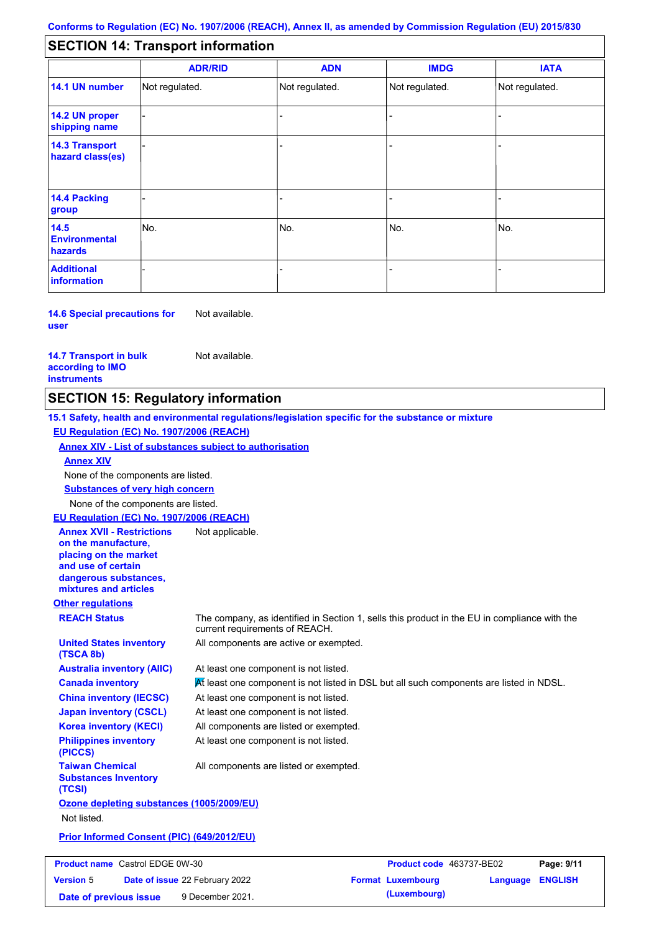#### - - - - - - - - - Not regulated. Not regulated. Not regulated. - - - **SECTION 14: Transport information ADR/RID IMDG IATA 14.1 UN number 14.2 UN proper shipping name 14.3 Transport hazard class(es) 14.4 Packing group ADN Additional information 14.5 Environmental hazards** No. 1980 | No. 1980 | No. 1980 | No. 1980 | No. 1980 | No. 1980 | No. 1980 | No. 1980 | No. 1980 | No. 1980 | Not regulated. - -<br>No. - -

**14.6 Special precautions for user** Not available.

**14.7 Transport in bulk according to IMO instruments**

**Version** 5

Not available.

## **SECTION 15: Regulatory information**

**Other regulations REACH Status** The company, as identified in Section 1, sells this product in the EU in compliance with the current requirements of REACH. **15.1 Safety, health and environmental regulations/legislation specific for the substance or mixture EU Regulation (EC) No. 1907/2006 (REACH) Annex XIV - List of substances subject to authorisation Substances of very high concern** None of the components are listed. At least one component is not listed. At least one component is not listed in DSL but all such components are listed in NDSL. At least one component is not listed. At least one component is not listed. All components are active or exempted. All components are listed or exempted. At least one component is not listed. **United States inventory (TSCA 8b) Australia inventory (AIIC) Canada inventory China inventory (IECSC) Japan inventory (CSCL) Korea inventory (KECI) Philippines inventory (PICCS) Taiwan Chemical Substances Inventory (TCSI)** All components are listed or exempted. **Ozone depleting substances (1005/2009/EU)** Not listed. **Prior Informed Consent (PIC) (649/2012/EU)** None of the components are listed. **Annex XIV EU Regulation (EC) No. 1907/2006 (REACH) Annex XVII - Restrictions on the manufacture, placing on the market and use of certain dangerous substances, mixtures and articles** Not applicable. **Product name** Castrol EDGE 0W-30 Castrol EDGE 0W-30 **Product code** 463737-BE02 **Page: 9/11**

**Date of issue** 22 February 2022 **Format Luxembourg Language ENGLISH**

**Date of previous issue (Luxembourg)** 9 December 2021.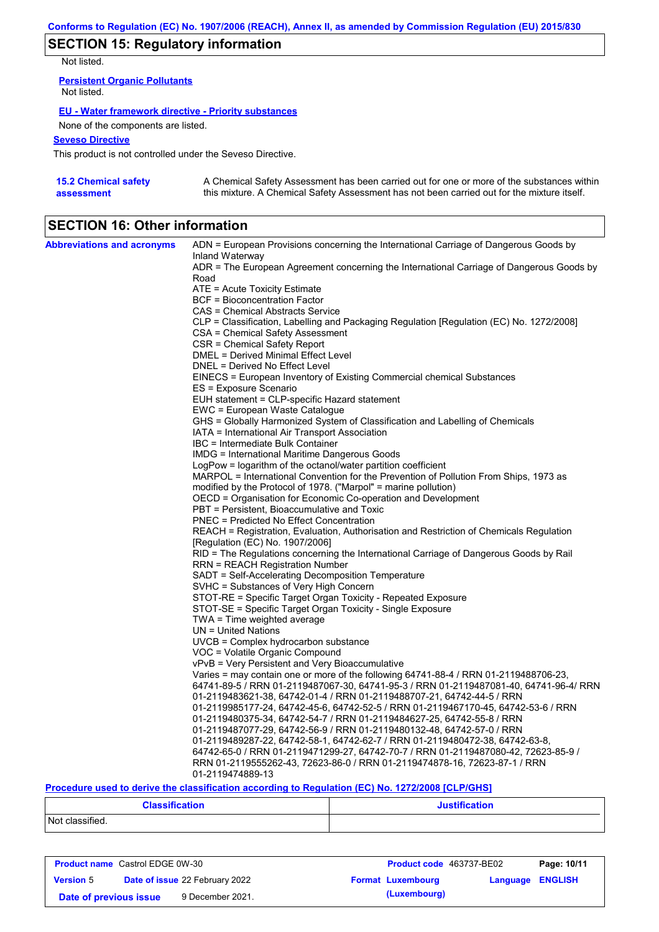## **SECTION 15: Regulatory information**

Not listed.

**Persistent Organic Pollutants** Not listed.

#### **EU - Water framework directive - Priority substances**

None of the components are listed.

#### **Seveso Directive**

This product is not controlled under the Seveso Directive.

| <b>15.2 Chemical safety</b> | A Chemical Safety Assessment has been carried out for one or more of the substances within  |
|-----------------------------|---------------------------------------------------------------------------------------------|
| assessment                  | this mixture. A Chemical Safety Assessment has not been carried out for the mixture itself. |

## **SECTION 16: Other information**

| <b>Abbreviations and acronyms</b> | ADN = European Provisions concerning the International Carriage of Dangerous Goods by                                                   |
|-----------------------------------|-----------------------------------------------------------------------------------------------------------------------------------------|
|                                   | Inland Waterway                                                                                                                         |
|                                   | ADR = The European Agreement concerning the International Carriage of Dangerous Goods by<br>Road                                        |
|                                   | ATE = Acute Toxicity Estimate                                                                                                           |
|                                   | <b>BCF</b> = Bioconcentration Factor                                                                                                    |
|                                   | CAS = Chemical Abstracts Service                                                                                                        |
|                                   | CLP = Classification, Labelling and Packaging Regulation [Regulation (EC) No. 1272/2008]                                                |
|                                   | CSA = Chemical Safety Assessment                                                                                                        |
|                                   | CSR = Chemical Safety Report                                                                                                            |
|                                   | DMEL = Derived Minimal Effect Level                                                                                                     |
|                                   | DNEL = Derived No Effect Level                                                                                                          |
|                                   | EINECS = European Inventory of Existing Commercial chemical Substances                                                                  |
|                                   | ES = Exposure Scenario                                                                                                                  |
|                                   | EUH statement = CLP-specific Hazard statement                                                                                           |
|                                   | EWC = European Waste Catalogue                                                                                                          |
|                                   | GHS = Globally Harmonized System of Classification and Labelling of Chemicals                                                           |
|                                   | IATA = International Air Transport Association                                                                                          |
|                                   | IBC = Intermediate Bulk Container                                                                                                       |
|                                   | IMDG = International Maritime Dangerous Goods                                                                                           |
|                                   | LogPow = logarithm of the octanol/water partition coefficient                                                                           |
|                                   | MARPOL = International Convention for the Prevention of Pollution From Ships, 1973 as                                                   |
|                                   | modified by the Protocol of 1978. ("Marpol" = marine pollution)                                                                         |
|                                   | OECD = Organisation for Economic Co-operation and Development                                                                           |
|                                   | PBT = Persistent, Bioaccumulative and Toxic                                                                                             |
|                                   | <b>PNEC = Predicted No Effect Concentration</b>                                                                                         |
|                                   | REACH = Registration, Evaluation, Authorisation and Restriction of Chemicals Regulation                                                 |
|                                   | [Regulation (EC) No. 1907/2006]                                                                                                         |
|                                   | RID = The Regulations concerning the International Carriage of Dangerous Goods by Rail                                                  |
|                                   | RRN = REACH Registration Number                                                                                                         |
|                                   | SADT = Self-Accelerating Decomposition Temperature                                                                                      |
|                                   | SVHC = Substances of Very High Concern                                                                                                  |
|                                   | STOT-RE = Specific Target Organ Toxicity - Repeated Exposure                                                                            |
|                                   | STOT-SE = Specific Target Organ Toxicity - Single Exposure                                                                              |
|                                   | TWA = Time weighted average                                                                                                             |
|                                   | $UN = United Nations$                                                                                                                   |
|                                   | UVCB = Complex hydrocarbon substance                                                                                                    |
|                                   | VOC = Volatile Organic Compound                                                                                                         |
|                                   | vPvB = Very Persistent and Very Bioaccumulative<br>Varies = may contain one or more of the following 64741-88-4 / RRN 01-2119488706-23, |
|                                   | 64741-89-5 / RRN 01-2119487067-30, 64741-95-3 / RRN 01-2119487081-40, 64741-96-4/ RRN                                                   |
|                                   | 01-2119483621-38, 64742-01-4 / RRN 01-2119488707-21, 64742-44-5 / RRN                                                                   |
|                                   | 01-2119985177-24, 64742-45-6, 64742-52-5 / RRN 01-2119467170-45, 64742-53-6 / RRN                                                       |
|                                   | 01-2119480375-34, 64742-54-7 / RRN 01-2119484627-25, 64742-55-8 / RRN                                                                   |
|                                   | 01-2119487077-29, 64742-56-9 / RRN 01-2119480132-48, 64742-57-0 / RRN                                                                   |
|                                   | 01-2119489287-22, 64742-58-1, 64742-62-7 / RRN 01-2119480472-38, 64742-63-8,                                                            |
|                                   | 64742-65-0 / RRN 01-2119471299-27, 64742-70-7 / RRN 01-2119487080-42, 72623-85-9 /                                                      |
|                                   | RRN 01-2119555262-43, 72623-86-0 / RRN 01-2119474878-16, 72623-87-1 / RRN                                                               |
|                                   | 01-2119474889-13                                                                                                                        |

#### **Procedure used to derive the classification according to Regulation (EC) No. 1272/2008 [CLP/GHS]**

| <b>Classification</b> | <b>Justification</b> |
|-----------------------|----------------------|
| Not classified.       |                      |

| <b>Product name</b> Castrol EDGE 0W-30 |                                       | <b>Product code</b> 463737-BE02 |  | Page: 10/11              |                         |  |
|----------------------------------------|---------------------------------------|---------------------------------|--|--------------------------|-------------------------|--|
| <b>Version 5</b>                       | <b>Date of issue 22 February 2022</b> |                                 |  | <b>Format Luxembourg</b> | <b>Language ENGLISH</b> |  |
| Date of previous issue                 |                                       | 9 December 2021.                |  | (Luxembourg)             |                         |  |